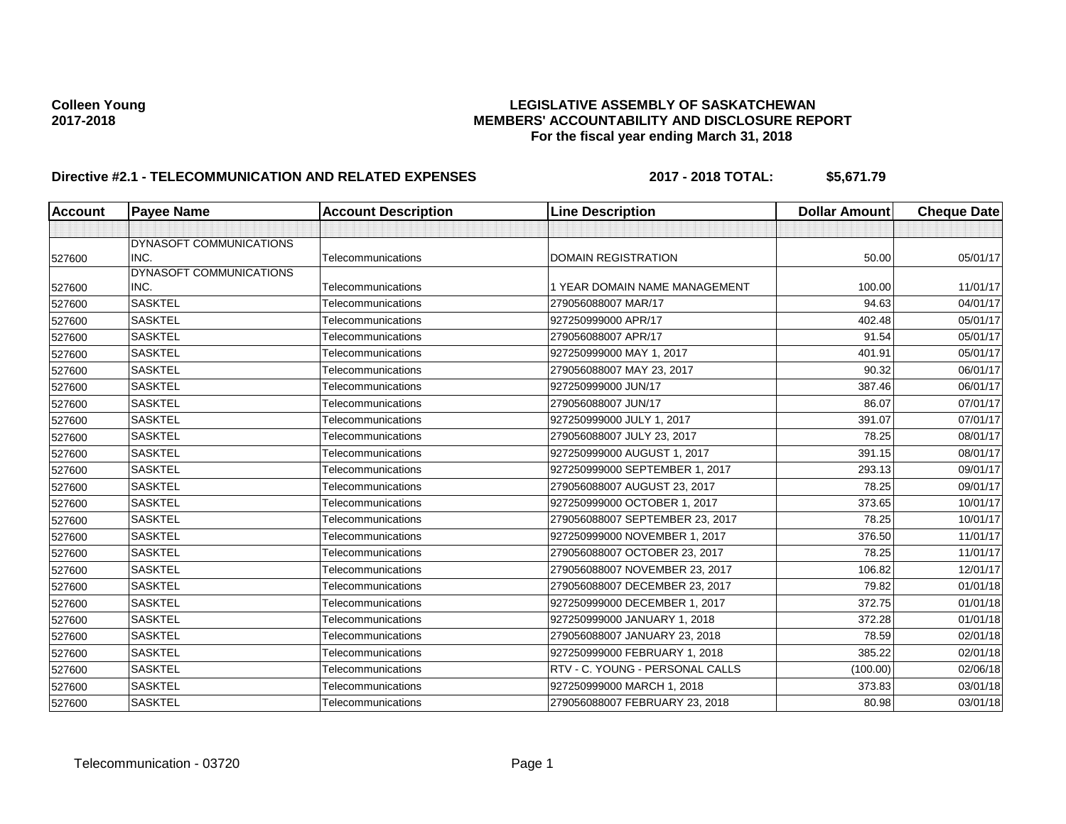# Colleen Young<br>LEGISLATIVE ASSEMBLY OF SASKATCHEWAN<br>MEMBERS' ACCOUNTABILITY AND DISCLOSURE REF **2017-2018 MEMBERS' ACCOUNTABILITY AND DISCLOSURE REPORT For the fiscal year ending March 31, 2018**

# **Directive #2.1 - TELECOMMUNICATION AND RELATED EXPENSES** 2017 - 2018 TOTAL: \$5,671.79

| <b>Account</b> | <b>Payee Name</b>       | <b>Account Description</b> | <b>Line Description</b>         | <b>Dollar Amount</b> | <b>Cheque Date</b> |
|----------------|-------------------------|----------------------------|---------------------------------|----------------------|--------------------|
|                |                         |                            |                                 |                      |                    |
|                | DYNASOFT COMMUNICATIONS |                            |                                 |                      |                    |
| 527600         | INC.                    | Telecommunications         | <b>DOMAIN REGISTRATION</b>      | 50.00                | 05/01/17           |
|                | DYNASOFT COMMUNICATIONS |                            |                                 |                      |                    |
| 527600         | INC.                    | Telecommunications         | 1 YEAR DOMAIN NAME MANAGEMENT   | 100.00               | 11/01/17           |
| 527600         | <b>SASKTEL</b>          | Telecommunications         | 279056088007 MAR/17             | 94.63                | 04/01/17           |
| 527600         | <b>SASKTEL</b>          | Telecommunications         | 927250999000 APR/17             | 402.48               | 05/01/17           |
| 527600         | <b>SASKTEL</b>          | Telecommunications         | 279056088007 APR/17             | 91.54                | 05/01/17           |
| 527600         | <b>SASKTEL</b>          | Telecommunications         | 927250999000 MAY 1, 2017        | 401.91               | 05/01/17           |
| 527600         | <b>SASKTEL</b>          | Telecommunications         | 279056088007 MAY 23, 2017       | 90.32                | 06/01/17           |
| 527600         | <b>SASKTEL</b>          | Telecommunications         | 927250999000 JUN/17             | 387.46               | 06/01/17           |
| 527600         | <b>SASKTEL</b>          | Telecommunications         | 279056088007 JUN/17             | 86.07                | 07/01/17           |
| 527600         | <b>SASKTEL</b>          | Telecommunications         | 927250999000 JULY 1, 2017       | 391.07               | 07/01/17           |
| 527600         | <b>SASKTEL</b>          | Telecommunications         | 279056088007 JULY 23, 2017      | 78.25                | 08/01/17           |
| 527600         | <b>SASKTEL</b>          | Telecommunications         | 927250999000 AUGUST 1, 2017     | 391.15               | 08/01/17           |
| 527600         | <b>SASKTEL</b>          | Telecommunications         | 927250999000 SEPTEMBER 1, 2017  | 293.13               | 09/01/17           |
| 527600         | <b>SASKTEL</b>          | Telecommunications         | 279056088007 AUGUST 23, 2017    | 78.25                | 09/01/17           |
| 527600         | <b>SASKTEL</b>          | Telecommunications         | 927250999000 OCTOBER 1, 2017    | 373.65               | 10/01/17           |
| 527600         | <b>SASKTEL</b>          | Telecommunications         | 279056088007 SEPTEMBER 23, 2017 | 78.25                | 10/01/17           |
| 527600         | <b>SASKTEL</b>          | Telecommunications         | 927250999000 NOVEMBER 1, 2017   | 376.50               | 11/01/17           |
| 527600         | <b>SASKTEL</b>          | Telecommunications         | 279056088007 OCTOBER 23, 2017   | 78.25                | 11/01/17           |
| 527600         | <b>SASKTEL</b>          | Telecommunications         | 279056088007 NOVEMBER 23, 2017  | 106.82               | 12/01/17           |
| 527600         | <b>SASKTEL</b>          | Telecommunications         | 279056088007 DECEMBER 23, 2017  | 79.82                | 01/01/18           |
| 527600         | <b>SASKTEL</b>          | Telecommunications         | 927250999000 DECEMBER 1, 2017   | 372.75               | 01/01/18           |
| 527600         | <b>SASKTEL</b>          | Telecommunications         | 927250999000 JANUARY 1, 2018    | 372.28               | 01/01/18           |
| 527600         | <b>SASKTEL</b>          | Telecommunications         | 279056088007 JANUARY 23, 2018   | 78.59                | 02/01/18           |
| 527600         | <b>SASKTEL</b>          | Telecommunications         | 927250999000 FEBRUARY 1, 2018   | 385.22               | 02/01/18           |
| 527600         | <b>SASKTEL</b>          | Telecommunications         | RTV - C. YOUNG - PERSONAL CALLS | (100.00)             | 02/06/18           |
| 527600         | <b>SASKTEL</b>          | Telecommunications         | 927250999000 MARCH 1, 2018      | 373.83               | 03/01/18           |
| 527600         | <b>SASKTEL</b>          | Telecommunications         | 279056088007 FEBRUARY 23, 2018  | 80.98                | 03/01/18           |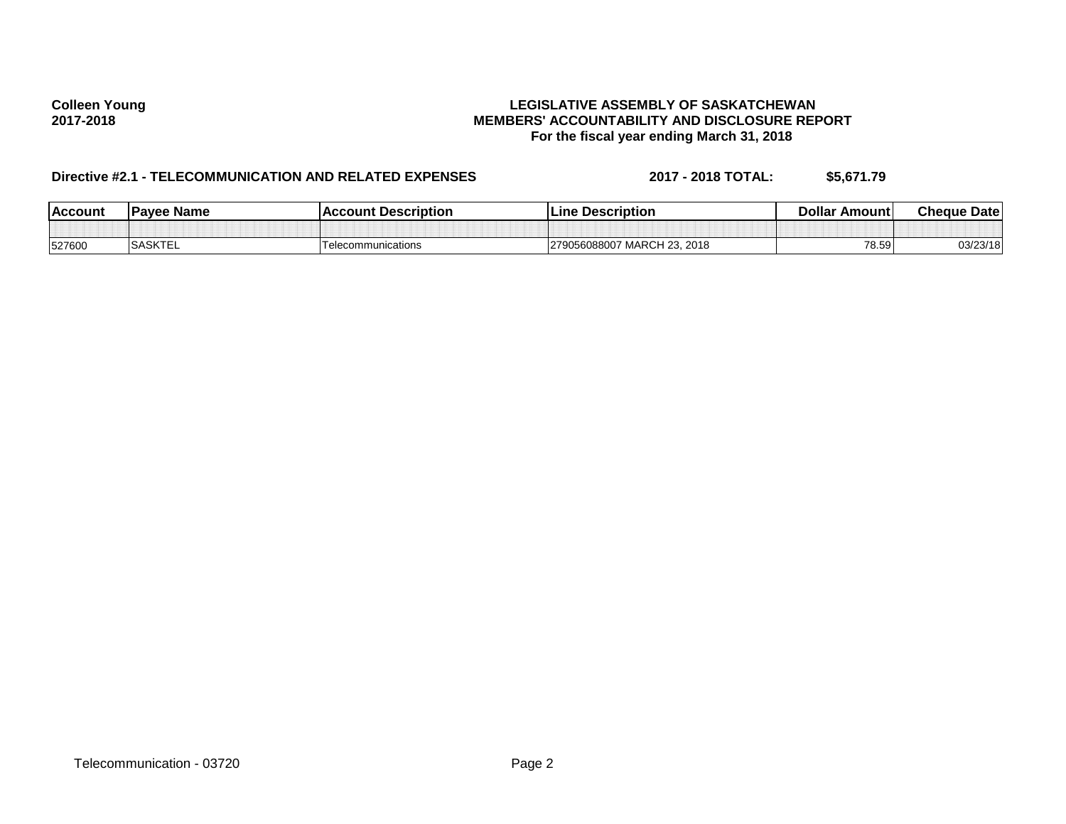# Colleen Young<br>LEGISLATIVE ASSEMBLY OF SASKATCHEWAN<br>MEMBERS' ACCOUNTABILITY AND DISCLOSURE REF **2017-2018 MEMBERS' ACCOUNTABILITY AND DISCLOSURE REPORT For the fiscal year ending March 31, 2018**

# **Directive #2.1 - TELECOMMUNICATION AND RELATED EXPENSES** 2017 - 2018 TOTAL: \$5,671.79

| <b>Account</b> | <b>Pavee Name</b>         | ccount Description<br>   | <b>Description</b><br>Line                    | Dollar<br>∵Amount l | <b>Cheque Datel</b> |
|----------------|---------------------------|--------------------------|-----------------------------------------------|---------------------|---------------------|
|                |                           |                          |                                               |                     |                     |
| 527600         | 0.01/TT<br><b>SASKIEL</b> | communications<br>i elec | 2018<br>MARCH<br>പറ~<br>279056088007<br>.د∠ ٦ | 78.59               | 03/23/18            |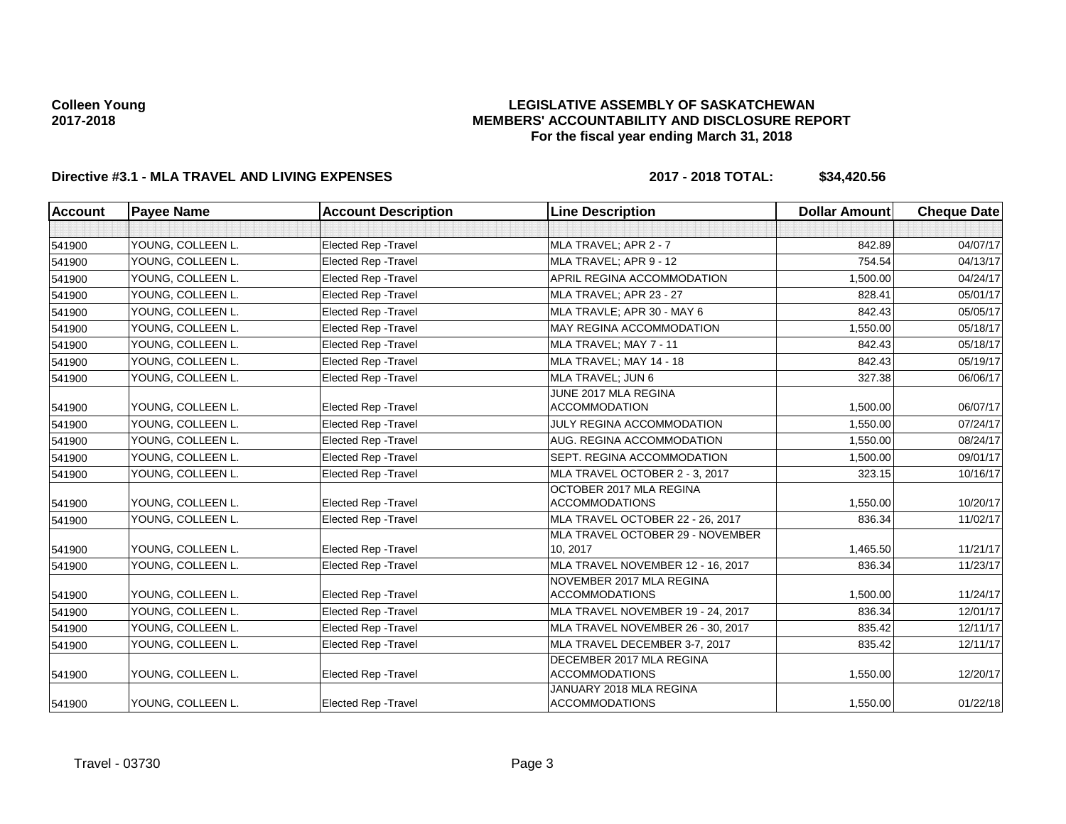## **LEGISLATIVE ASSEMBLY OF SASKATCHEWAN MEMBERS' ACCOUNTABILITY AND DISCLOSURE REPORT For the fiscal year ending March 31, 2018**

# **Directive #3.1 - MLA TRAVEL AND LIVING EXPENSES 2017 - 2018 TOTAL: \$34,420.56**

| Account | <b>Payee Name</b> | <b>Account Description</b>  | <b>Line Description</b>                           | <b>Dollar Amount</b> | <b>Cheque Date</b> |
|---------|-------------------|-----------------------------|---------------------------------------------------|----------------------|--------------------|
|         |                   |                             |                                                   |                      |                    |
| 541900  | YOUNG, COLLEEN L. | Elected Rep - Travel        | MLA TRAVEL; APR 2 - 7                             | 842.89               | 04/07/17           |
| 541900  | YOUNG, COLLEEN L. | <b>Elected Rep - Travel</b> | MLA TRAVEL; APR 9 - 12                            | 754.54               | 04/13/17           |
| 541900  | YOUNG, COLLEEN L. | Elected Rep - Travel        | APRIL REGINA ACCOMMODATION                        | 1,500.00             | 04/24/17           |
| 541900  | YOUNG, COLLEEN L. | <b>Elected Rep - Travel</b> | MLA TRAVEL; APR 23 - 27                           | 828.41               | 05/01/17           |
| 541900  | YOUNG. COLLEEN L. | <b>Elected Rep - Travel</b> | MLA TRAVLE: APR 30 - MAY 6                        | 842.43               | 05/05/17           |
| 541900  | YOUNG, COLLEEN L. | Elected Rep - Travel        | MAY REGINA ACCOMMODATION                          | 1,550.00             | 05/18/17           |
| 541900  | YOUNG, COLLEEN L. | <b>Elected Rep - Travel</b> | MLA TRAVEL; MAY 7 - 11                            | 842.43               | 05/18/17           |
| 541900  | YOUNG, COLLEEN L. | <b>Elected Rep - Travel</b> | MLA TRAVEL: MAY 14 - 18                           | 842.43               | 05/19/17           |
| 541900  | YOUNG, COLLEEN L. | Elected Rep - Travel        | MLA TRAVEL; JUN 6                                 | 327.38               | 06/06/17           |
| 541900  | YOUNG, COLLEEN L. | <b>Elected Rep - Travel</b> | JUNE 2017 MLA REGINA<br><b>ACCOMMODATION</b>      | 1,500.00             | 06/07/17           |
| 541900  | YOUNG, COLLEEN L. | <b>Elected Rep - Travel</b> | JULY REGINA ACCOMMODATION                         | 1,550.00             | 07/24/17           |
| 541900  | YOUNG, COLLEEN L. | <b>Elected Rep - Travel</b> | AUG. REGINA ACCOMMODATION                         | 1,550.00             | 08/24/17           |
| 541900  | YOUNG, COLLEEN L. | <b>Elected Rep - Travel</b> | SEPT. REGINA ACCOMMODATION                        | 1,500.00             | 09/01/17           |
| 541900  | YOUNG, COLLEEN L. | Elected Rep - Travel        | MLA TRAVEL OCTOBER 2 - 3, 2017                    | 323.15               | 10/16/17           |
| 541900  | YOUNG, COLLEEN L. | <b>Elected Rep - Travel</b> | OCTOBER 2017 MLA REGINA<br><b>ACCOMMODATIONS</b>  | 1,550.00             | 10/20/17           |
| 541900  | YOUNG, COLLEEN L. | <b>Elected Rep - Travel</b> | MLA TRAVEL OCTOBER 22 - 26, 2017                  | 836.34               | 11/02/17           |
| 541900  | YOUNG, COLLEEN L. | <b>Elected Rep - Travel</b> | MLA TRAVEL OCTOBER 29 - NOVEMBER<br>10, 2017      | 1,465.50             | 11/21/17           |
| 541900  | YOUNG, COLLEEN L. | Elected Rep - Travel        | MLA TRAVEL NOVEMBER 12 - 16, 2017                 | 836.34               | 11/23/17           |
| 541900  | YOUNG, COLLEEN L. | <b>Elected Rep - Travel</b> | NOVEMBER 2017 MLA REGINA<br><b>ACCOMMODATIONS</b> | 1,500.00             | 11/24/17           |
| 541900  | YOUNG, COLLEEN L. | <b>Elected Rep - Travel</b> | MLA TRAVEL NOVEMBER 19 - 24, 2017                 | 836.34               | 12/01/17           |
| 541900  | YOUNG, COLLEEN L. | <b>Elected Rep - Travel</b> | MLA TRAVEL NOVEMBER 26 - 30, 2017                 | 835.42               | 12/11/17           |
| 541900  | YOUNG, COLLEEN L. | Elected Rep - Travel        | MLA TRAVEL DECEMBER 3-7, 2017                     | 835.42               | 12/11/17           |
| 541900  | YOUNG, COLLEEN L. | Elected Rep - Travel        | DECEMBER 2017 MLA REGINA<br><b>ACCOMMODATIONS</b> | 1,550.00             | 12/20/17           |
| 541900  | YOUNG, COLLEEN L. | <b>Elected Rep - Travel</b> | JANUARY 2018 MLA REGINA<br><b>ACCOMMODATIONS</b>  | 1,550.00             | 01/22/18           |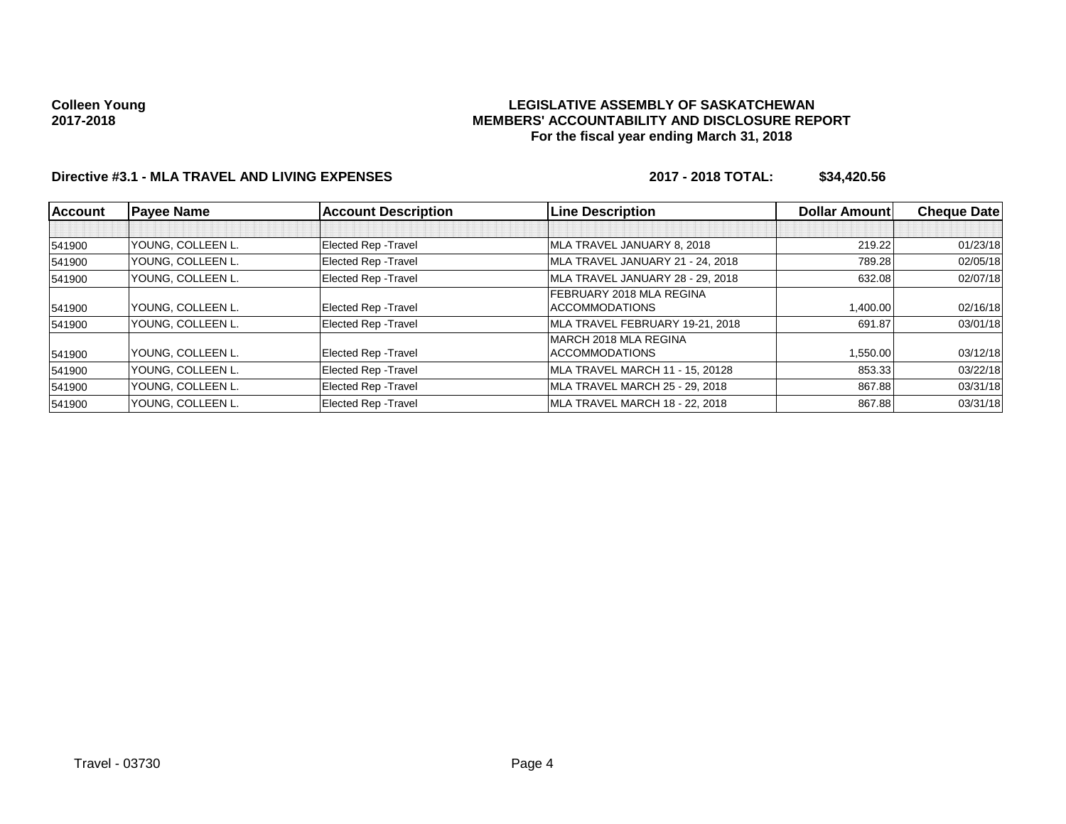## **LEGISLATIVE ASSEMBLY OF SASKATCHEWAN MEMBERS' ACCOUNTABILITY AND DISCLOSURE REPORT For the fiscal year ending March 31, 2018**

# **Directive #3.1 - MLA TRAVEL AND LIVING EXPENSES 2017 - 2018 TOTAL: \$34,420.56**

| <b>Account</b> | <b>Payee Name</b> | <b>Account Description</b>  | <b>Line Description</b>          | Dollar Amount | <b>Cheque Date</b> |
|----------------|-------------------|-----------------------------|----------------------------------|---------------|--------------------|
|                |                   |                             |                                  |               |                    |
| 541900         | YOUNG, COLLEEN L. | <b>Elected Rep - Travel</b> | MLA TRAVEL JANUARY 8, 2018       | 219.22        | 01/23/18           |
| 541900         | YOUNG, COLLEEN L. | Elected Rep - Travel        | MLA TRAVEL JANUARY 21 - 24, 2018 | 789.28        | 02/05/18           |
| 541900         | YOUNG, COLLEEN L. | Elected Rep - Travel        | MLA TRAVEL JANUARY 28 - 29, 2018 | 632.08        | 02/07/18           |
|                |                   |                             | FEBRUARY 2018 MLA REGINA         |               |                    |
| 541900         | YOUNG, COLLEEN L. | Elected Rep - Travel        | <b>ACCOMMODATIONS</b>            | 1.400.00      | 02/16/18           |
| 541900         | YOUNG, COLLEEN L. | Elected Rep - Travel        | MLA TRAVEL FEBRUARY 19-21, 2018  | 691.87        | 03/01/18           |
|                |                   |                             | MARCH 2018 MLA REGINA            |               |                    |
| 541900         | YOUNG, COLLEEN L. | <b>Elected Rep - Travel</b> | <b>ACCOMMODATIONS</b>            | 1,550.00      | 03/12/18           |
| 541900         | YOUNG, COLLEEN L. | Elected Rep - Travel        | MLA TRAVEL MARCH 11 - 15, 20128  | 853.33        | 03/22/18           |
| 541900         | YOUNG, COLLEEN L. | Elected Rep - Travel        | MLA TRAVEL MARCH 25 - 29, 2018   | 867.88        | 03/31/18           |
| 541900         | YOUNG. COLLEEN L. | <b>Elected Rep - Travel</b> | MLA TRAVEL MARCH 18 - 22, 2018   | 867.88        | 03/31/18           |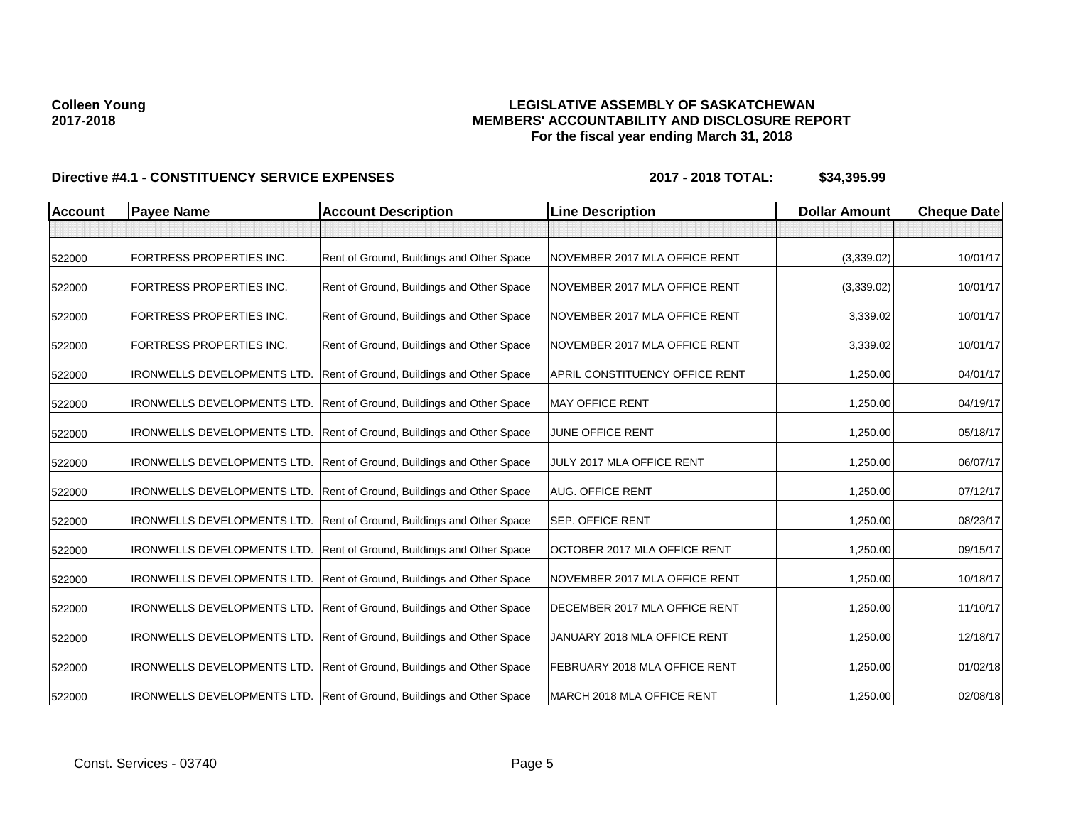## **LEGISLATIVE ASSEMBLY OF SASKATCHEWAN MEMBERS' ACCOUNTABILITY AND DISCLOSURE REPORT For the fiscal year ending March 31, 2018**

| <b>Account</b> | <b>Payee Name</b>                  | <b>Account Description</b>                | <b>Line Description</b>        | <b>Dollar Amount</b> | <b>Cheque Date</b> |
|----------------|------------------------------------|-------------------------------------------|--------------------------------|----------------------|--------------------|
|                |                                    |                                           |                                |                      |                    |
| 522000         | FORTRESS PROPERTIES INC.           | Rent of Ground, Buildings and Other Space | NOVEMBER 2017 MLA OFFICE RENT  | (3,339.02)           | 10/01/17           |
| 522000         | FORTRESS PROPERTIES INC.           | Rent of Ground, Buildings and Other Space | NOVEMBER 2017 MLA OFFICE RENT  | (3,339.02)           | 10/01/17           |
| 522000         | FORTRESS PROPERTIES INC.           | Rent of Ground, Buildings and Other Space | NOVEMBER 2017 MLA OFFICE RENT  | 3,339.02             | 10/01/17           |
| 522000         | FORTRESS PROPERTIES INC.           | Rent of Ground, Buildings and Other Space | NOVEMBER 2017 MLA OFFICE RENT  | 3,339.02             | 10/01/17           |
| 522000         | <b>IRONWELLS DEVELOPMENTS LTD.</b> | Rent of Ground, Buildings and Other Space | APRIL CONSTITUENCY OFFICE RENT | 1,250.00             | 04/01/17           |
| 522000         | <b>IRONWELLS DEVELOPMENTS LTD.</b> | Rent of Ground, Buildings and Other Space | <b>MAY OFFICE RENT</b>         | 1,250.00             | 04/19/17           |
| 522000         | <b>IRONWELLS DEVELOPMENTS LTD.</b> | Rent of Ground, Buildings and Other Space | JUNE OFFICE RENT               | 1,250.00             | 05/18/17           |
| 522000         | <b>IRONWELLS DEVELOPMENTS LTD.</b> | Rent of Ground, Buildings and Other Space | JULY 2017 MLA OFFICE RENT      | 1,250.00             | 06/07/17           |
| 522000         | <b>IRONWELLS DEVELOPMENTS LTD.</b> | Rent of Ground, Buildings and Other Space | <b>AUG. OFFICE RENT</b>        | 1,250.00             | 07/12/17           |
| 522000         | <b>IRONWELLS DEVELOPMENTS LTD.</b> | Rent of Ground, Buildings and Other Space | <b>SEP. OFFICE RENT</b>        | 1,250.00             | 08/23/17           |
| 522000         | <b>IRONWELLS DEVELOPMENTS LTD.</b> | Rent of Ground, Buildings and Other Space | OCTOBER 2017 MLA OFFICE RENT   | 1,250.00             | 09/15/17           |
| 522000         | <b>IRONWELLS DEVELOPMENTS LTD.</b> | Rent of Ground, Buildings and Other Space | NOVEMBER 2017 MLA OFFICE RENT  | 1,250.00             | 10/18/17           |
| 522000         | <b>IRONWELLS DEVELOPMENTS LTD.</b> | Rent of Ground, Buildings and Other Space | DECEMBER 2017 MLA OFFICE RENT  | 1,250.00             | 11/10/17           |
| 522000         | <b>IRONWELLS DEVELOPMENTS LTD.</b> | Rent of Ground, Buildings and Other Space | JANUARY 2018 MLA OFFICE RENT   | 1,250.00             | 12/18/17           |
| 522000         | <b>IRONWELLS DEVELOPMENTS LTD.</b> | Rent of Ground, Buildings and Other Space | FEBRUARY 2018 MLA OFFICE RENT  | 1,250.00             | 01/02/18           |
| 522000         | <b>IRONWELLS DEVELOPMENTS LTD.</b> | Rent of Ground, Buildings and Other Space | MARCH 2018 MLA OFFICE RENT     | 1,250.00             | 02/08/18           |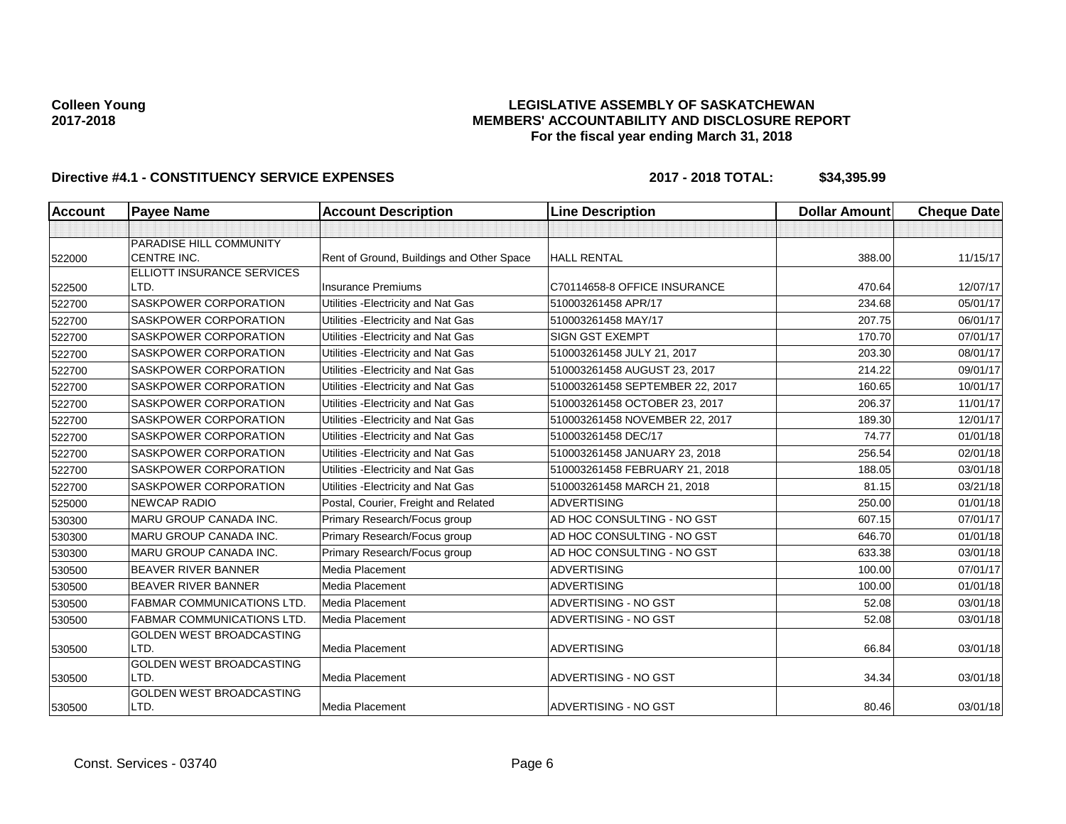## **LEGISLATIVE ASSEMBLY OF SASKATCHEWAN MEMBERS' ACCOUNTABILITY AND DISCLOSURE REPORT For the fiscal year ending March 31, 2018**

| Account | <b>Payee Name</b>                             | <b>Account Description</b>                | <b>Line Description</b>         | <b>Dollar Amount</b> | <b>Cheque Date</b> |
|---------|-----------------------------------------------|-------------------------------------------|---------------------------------|----------------------|--------------------|
|         |                                               |                                           |                                 |                      |                    |
| 522000  | PARADISE HILL COMMUNITY<br><b>CENTRE INC.</b> | Rent of Ground, Buildings and Other Space | <b>HALL RENTAL</b>              | 388.00               | 11/15/17           |
|         | ELLIOTT INSURANCE SERVICES                    |                                           |                                 |                      |                    |
| 522500  | LTD.                                          | <b>Insurance Premiums</b>                 | C70114658-8 OFFICE INSURANCE    | 470.64               | 12/07/17           |
| 522700  | SASKPOWER CORPORATION                         | Utilities - Electricity and Nat Gas       | 510003261458 APR/17             | 234.68               | 05/01/17           |
| 522700  | SASKPOWER CORPORATION                         | Utilities - Electricity and Nat Gas       | 510003261458 MAY/17             | 207.75               | 06/01/17           |
| 522700  | SASKPOWER CORPORATION                         | Utilities - Electricity and Nat Gas       | <b>SIGN GST EXEMPT</b>          | 170.70               | 07/01/17           |
| 522700  | SASKPOWER CORPORATION                         | Utilities - Electricity and Nat Gas       | 510003261458 JULY 21, 2017      | 203.30               | 08/01/17           |
| 522700  | SASKPOWER CORPORATION                         | Utilities - Electricity and Nat Gas       | 510003261458 AUGUST 23, 2017    | 214.22               | 09/01/17           |
| 522700  | SASKPOWER CORPORATION                         | Utilities - Electricity and Nat Gas       | 510003261458 SEPTEMBER 22, 2017 | 160.65               | 10/01/17           |
| 522700  | SASKPOWER CORPORATION                         | Utilities - Electricity and Nat Gas       | 510003261458 OCTOBER 23, 2017   | 206.37               | 11/01/17           |
| 522700  | SASKPOWER CORPORATION                         | Utilities - Electricity and Nat Gas       | 510003261458 NOVEMBER 22, 2017  | 189.30               | 12/01/17           |
| 522700  | <b>SASKPOWER CORPORATION</b>                  | Utilities - Electricity and Nat Gas       | 510003261458 DEC/17             | 74.77                | 01/01/18           |
| 522700  | SASKPOWER CORPORATION                         | Utilities - Electricity and Nat Gas       | 510003261458 JANUARY 23, 2018   | 256.54               | 02/01/18           |
| 522700  | SASKPOWER CORPORATION                         | Utilities - Electricity and Nat Gas       | 510003261458 FEBRUARY 21, 2018  | 188.05               | 03/01/18           |
| 522700  | SASKPOWER CORPORATION                         | Utilities - Electricity and Nat Gas       | 510003261458 MARCH 21, 2018     | 81.15                | 03/21/18           |
| 525000  | <b>NEWCAP RADIO</b>                           | Postal, Courier, Freight and Related      | <b>ADVERTISING</b>              | 250.00               | 01/01/18           |
| 530300  | <b>MARU GROUP CANADA INC.</b>                 | Primary Research/Focus group              | AD HOC CONSULTING - NO GST      | 607.15               | 07/01/17           |
| 530300  | MARU GROUP CANADA INC.                        | Primary Research/Focus group              | AD HOC CONSULTING - NO GST      | 646.70               | 01/01/18           |
| 530300  | MARU GROUP CANADA INC.                        | Primary Research/Focus group              | AD HOC CONSULTING - NO GST      | 633.38               | 03/01/18           |
| 530500  | <b>BEAVER RIVER BANNER</b>                    | Media Placement                           | <b>ADVERTISING</b>              | 100.00               | 07/01/17           |
| 530500  | <b>BEAVER RIVER BANNER</b>                    | <b>Media Placement</b>                    | <b>ADVERTISING</b>              | 100.00               | 01/01/18           |
| 530500  | <b>FABMAR COMMUNICATIONS LTD.</b>             | Media Placement                           | ADVERTISING - NO GST            | 52.08                | 03/01/18           |
| 530500  | <b>FABMAR COMMUNICATIONS LTD.</b>             | Media Placement                           | ADVERTISING - NO GST            | 52.08                | 03/01/18           |
|         | GOLDEN WEST BROADCASTING                      |                                           |                                 |                      |                    |
| 530500  | LTD.                                          | <b>Media Placement</b>                    | <b>ADVERTISING</b>              | 66.84                | 03/01/18           |
|         | <b>GOLDEN WEST BROADCASTING</b>               |                                           |                                 |                      |                    |
| 530500  | LTD.                                          | Media Placement                           | ADVERTISING - NO GST            | 34.34                | 03/01/18           |
| 530500  | <b>GOLDEN WEST BROADCASTING</b><br>LTD.       | Media Placement                           | ADVERTISING - NO GST            | 80.46                | 03/01/18           |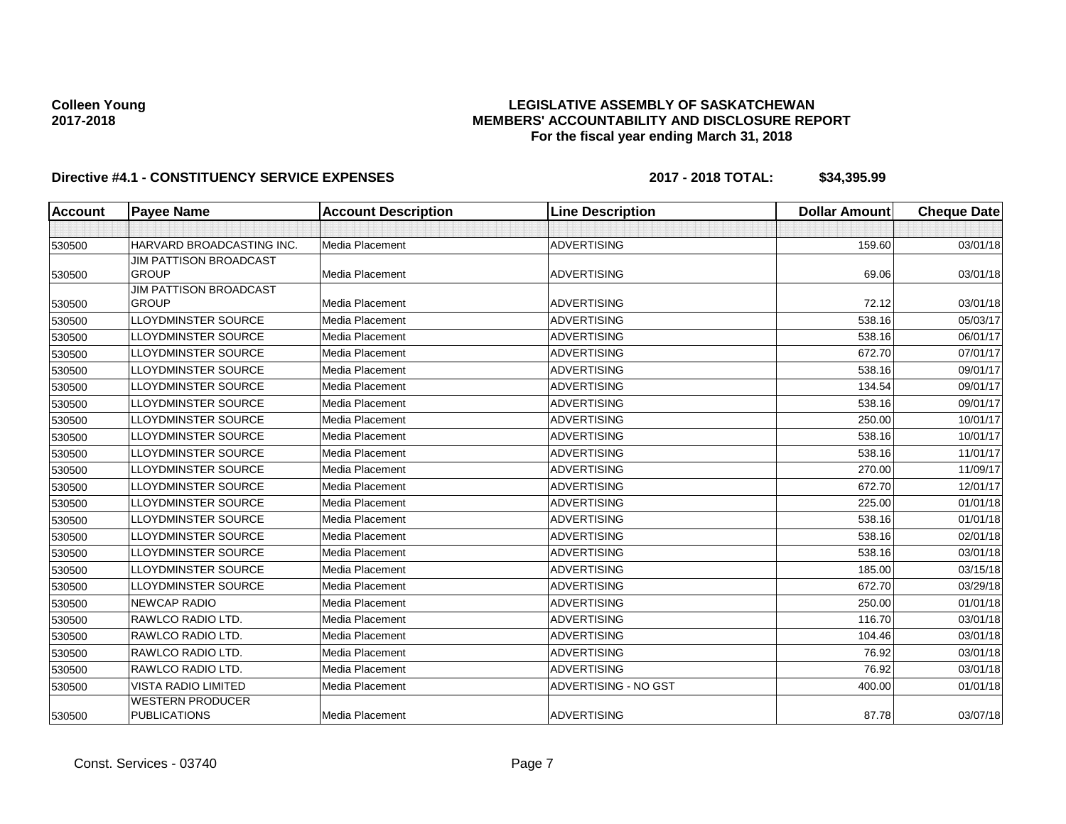## **LEGISLATIVE ASSEMBLY OF SASKATCHEWAN MEMBERS' ACCOUNTABILITY AND DISCLOSURE REPORT For the fiscal year ending March 31, 2018**

| <b>Account</b> | <b>Payee Name</b>             | <b>Account Description</b> | <b>Line Description</b> | <b>Dollar Amount</b> | <b>Cheque Date</b> |
|----------------|-------------------------------|----------------------------|-------------------------|----------------------|--------------------|
|                |                               |                            |                         |                      |                    |
| 530500         | HARVARD BROADCASTING INC.     | Media Placement            | <b>ADVERTISING</b>      | 159.60               | 03/01/18           |
|                | <b>JIM PATTISON BROADCAST</b> |                            |                         |                      |                    |
| 530500         | <b>GROUP</b>                  | Media Placement            | <b>ADVERTISING</b>      | 69.06                | 03/01/18           |
|                | <b>JIM PATTISON BROADCAST</b> |                            |                         |                      |                    |
| 530500         | <b>GROUP</b>                  | <b>Media Placement</b>     | <b>ADVERTISING</b>      | 72.12                | 03/01/18           |
| 530500         | <b>LLOYDMINSTER SOURCE</b>    | <b>Media Placement</b>     | <b>ADVERTISING</b>      | 538.16               | 05/03/17           |
| 530500         | <b>LLOYDMINSTER SOURCE</b>    | Media Placement            | <b>ADVERTISING</b>      | 538.16               | 06/01/17           |
| 530500         | <b>LLOYDMINSTER SOURCE</b>    | Media Placement            | <b>ADVERTISING</b>      | 672.70               | 07/01/17           |
| 530500         | <b>LLOYDMINSTER SOURCE</b>    | <b>Media Placement</b>     | <b>ADVERTISING</b>      | 538.16               | 09/01/17           |
| 530500         | <b>LLOYDMINSTER SOURCE</b>    | <b>Media Placement</b>     | <b>ADVERTISING</b>      | 134.54               | 09/01/17           |
| 530500         | <b>LLOYDMINSTER SOURCE</b>    | Media Placement            | <b>ADVERTISING</b>      | 538.16               | 09/01/17           |
| 530500         | <b>LLOYDMINSTER SOURCE</b>    | Media Placement            | <b>ADVERTISING</b>      | 250.00               | 10/01/17           |
| 530500         | <b>LLOYDMINSTER SOURCE</b>    | <b>Media Placement</b>     | <b>ADVERTISING</b>      | 538.16               | 10/01/17           |
| 530500         | <b>LLOYDMINSTER SOURCE</b>    | <b>Media Placement</b>     | <b>ADVERTISING</b>      | 538.16               | 11/01/17           |
| 530500         | <b>LLOYDMINSTER SOURCE</b>    | Media Placement            | <b>ADVERTISING</b>      | 270.00               | 11/09/17           |
| 530500         | <b>LLOYDMINSTER SOURCE</b>    | Media Placement            | <b>ADVERTISING</b>      | 672.70               | 12/01/17           |
| 530500         | <b>LLOYDMINSTER SOURCE</b>    | Media Placement            | <b>ADVERTISING</b>      | 225.00               | 01/01/18           |
| 530500         | <b>LLOYDMINSTER SOURCE</b>    | Media Placement            | <b>ADVERTISING</b>      | 538.16               | 01/01/18           |
| 530500         | <b>LLOYDMINSTER SOURCE</b>    | Media Placement            | <b>ADVERTISING</b>      | 538.16               | 02/01/18           |
| 530500         | <b>LLOYDMINSTER SOURCE</b>    | Media Placement            | <b>ADVERTISING</b>      | 538.16               | 03/01/18           |
| 530500         | <b>LLOYDMINSTER SOURCE</b>    | <b>Media Placement</b>     | <b>ADVERTISING</b>      | 185.00               | 03/15/18           |
| 530500         | <b>LLOYDMINSTER SOURCE</b>    | Media Placement            | <b>ADVERTISING</b>      | 672.70               | 03/29/18           |
| 530500         | <b>NEWCAP RADIO</b>           | Media Placement            | <b>ADVERTISING</b>      | 250.00               | 01/01/18           |
| 530500         | RAWLCO RADIO LTD.             | Media Placement            | <b>ADVERTISING</b>      | 116.70               | 03/01/18           |
| 530500         | RAWLCO RADIO LTD.             | Media Placement            | <b>ADVERTISING</b>      | 104.46               | 03/01/18           |
| 530500         | RAWLCO RADIO LTD.             | <b>Media Placement</b>     | <b>ADVERTISING</b>      | 76.92                | 03/01/18           |
| 530500         | RAWLCO RADIO LTD.             | Media Placement            | <b>ADVERTISING</b>      | 76.92                | 03/01/18           |
| 530500         | <b>VISTA RADIO LIMITED</b>    | Media Placement            | ADVERTISING - NO GST    | 400.00               | 01/01/18           |
|                | <b>WESTERN PRODUCER</b>       |                            |                         |                      |                    |
| 530500         | <b>PUBLICATIONS</b>           | Media Placement            | <b>ADVERTISING</b>      | 87.78                | 03/07/18           |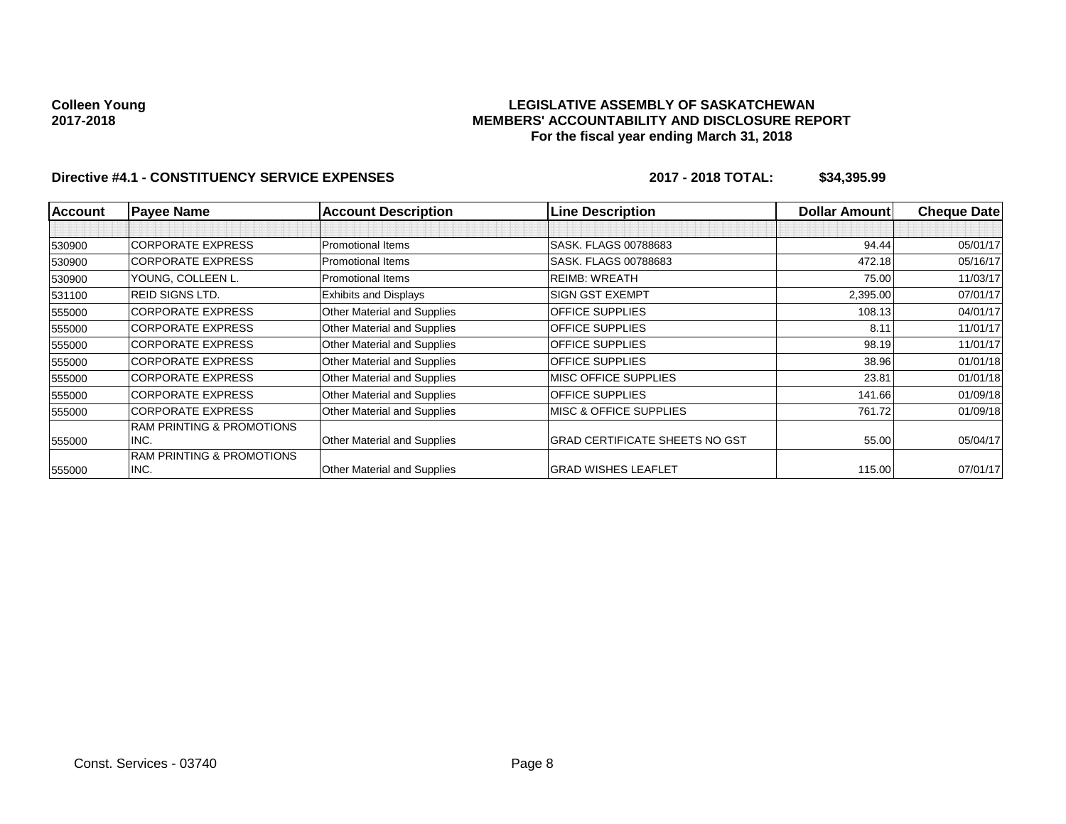## **LEGISLATIVE ASSEMBLY OF SASKATCHEWAN MEMBERS' ACCOUNTABILITY AND DISCLOSURE REPORT For the fiscal year ending March 31, 2018**

| <b>Account</b> | <b>Payee Name</b>                    | <b>Account Description</b>   | <b>Line Description</b>               | <b>Dollar Amount</b> | <b>Cheque Date</b> |
|----------------|--------------------------------------|------------------------------|---------------------------------------|----------------------|--------------------|
|                |                                      |                              |                                       |                      |                    |
| 530900         | <b>CORPORATE EXPRESS</b>             | <b>Promotional Items</b>     | SASK, FLAGS 00788683                  | 94.44                | 05/01/17           |
| 530900         | <b>CORPORATE EXPRESS</b>             | <b>Promotional Items</b>     | SASK, FLAGS 00788683                  | 472.18               | 05/16/17           |
| 530900         | YOUNG, COLLEEN L.                    | <b>Promotional Items</b>     | <b>REIMB: WREATH</b>                  | 75.00                | 11/03/17           |
| 531100         | REID SIGNS LTD.                      | <b>Exhibits and Displays</b> | <b>SIGN GST EXEMPT</b>                | 2,395.00             | 07/01/17           |
| 555000         | <b>CORPORATE EXPRESS</b>             | Other Material and Supplies  | <b>OFFICE SUPPLIES</b>                | 108.13               | 04/01/17           |
| 555000         | <b>CORPORATE EXPRESS</b>             | Other Material and Supplies  | <b>OFFICE SUPPLIES</b>                | 8.11                 | 11/01/17           |
| 555000         | <b>CORPORATE EXPRESS</b>             | Other Material and Supplies  | <b>OFFICE SUPPLIES</b>                | 98.19                | 11/01/17           |
| 555000         | <b>CORPORATE EXPRESS</b>             | Other Material and Supplies  | <b>OFFICE SUPPLIES</b>                | 38.96                | 01/01/18           |
| 555000         | <b>CORPORATE EXPRESS</b>             | Other Material and Supplies  | <b>MISC OFFICE SUPPLIES</b>           | 23.81                | 01/01/18           |
| 555000         | <b>CORPORATE EXPRESS</b>             | Other Material and Supplies  | OFFICE SUPPLIES                       | 141.66               | 01/09/18           |
| 555000         | <b>CORPORATE EXPRESS</b>             | Other Material and Supplies  | <b>MISC &amp; OFFICE SUPPLIES</b>     | 761.72               | 01/09/18           |
|                | <b>RAM PRINTING &amp; PROMOTIONS</b> |                              |                                       |                      |                    |
| 555000         | INC.                                 | Other Material and Supplies  | <b>GRAD CERTIFICATE SHEETS NO GST</b> | 55.00                | 05/04/17           |
|                | <b>RAM PRINTING &amp; PROMOTIONS</b> |                              |                                       |                      |                    |
| 555000         | INC.                                 | Other Material and Supplies  | <b>GRAD WISHES LEAFLET</b>            | 115.00               | 07/01/17           |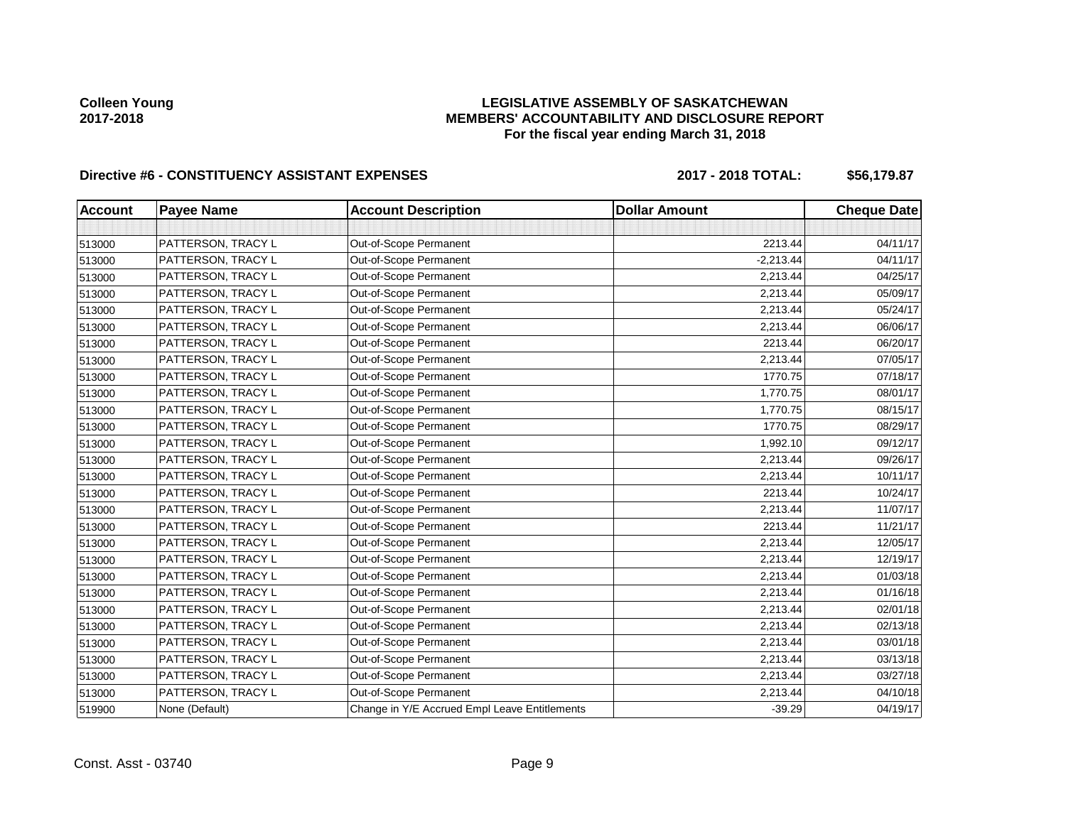## **LEGISLATIVE ASSEMBLY OF SASKATCHEWAN MEMBERS' ACCOUNTABILITY AND DISCLOSURE REPORT For the fiscal year ending March 31, 2018**

# Directive #6 - CONSTITUENCY ASSISTANT EXPENSES 2017 - 2018 TOTAL: \$56,179.87

| <b>Account</b> | <b>Payee Name</b>  | <b>Account Description</b>                    | <b>Dollar Amount</b> | <b>Cheque Date</b> |
|----------------|--------------------|-----------------------------------------------|----------------------|--------------------|
|                |                    |                                               |                      |                    |
| 513000         | PATTERSON, TRACY L | Out-of-Scope Permanent                        | 2213.44              | 04/11/17           |
| 513000         | PATTERSON, TRACY L | Out-of-Scope Permanent                        | $-2,213.44$          | 04/11/17           |
| 513000         | PATTERSON, TRACY L | Out-of-Scope Permanent                        | 2,213.44             | 04/25/17           |
| 513000         | PATTERSON, TRACY L | Out-of-Scope Permanent                        | 2,213.44             | 05/09/17           |
| 513000         | PATTERSON, TRACY L | Out-of-Scope Permanent                        | 2,213.44             | 05/24/17           |
| 513000         | PATTERSON, TRACY L | Out-of-Scope Permanent                        | 2,213.44             | 06/06/17           |
| 513000         | PATTERSON, TRACY L | Out-of-Scope Permanent                        | 2213.44              | 06/20/17           |
| 513000         | PATTERSON, TRACY L | Out-of-Scope Permanent                        | 2,213.44             | 07/05/17           |
| 513000         | PATTERSON, TRACY L | Out-of-Scope Permanent                        | 1770.75              | 07/18/17           |
| 513000         | PATTERSON, TRACY L | Out-of-Scope Permanent                        | 1,770.75             | 08/01/17           |
| 513000         | PATTERSON, TRACY L | Out-of-Scope Permanent                        | 1,770.75             | 08/15/17           |
| 513000         | PATTERSON, TRACY L | Out-of-Scope Permanent                        | 1770.75              | 08/29/17           |
| 513000         | PATTERSON, TRACY L | Out-of-Scope Permanent                        | 1,992.10             | 09/12/17           |
| 513000         | PATTERSON, TRACY L | Out-of-Scope Permanent                        | 2,213.44             | 09/26/17           |
| 513000         | PATTERSON, TRACY L | Out-of-Scope Permanent                        | 2,213.44             | 10/11/17           |
| 513000         | PATTERSON, TRACY L | Out-of-Scope Permanent                        | 2213.44              | 10/24/17           |
| 513000         | PATTERSON, TRACY L | Out-of-Scope Permanent                        | 2,213.44             | 11/07/17           |
| 513000         | PATTERSON, TRACY L | Out-of-Scope Permanent                        | 2213.44              | 11/21/17           |
| 513000         | PATTERSON, TRACY L | Out-of-Scope Permanent                        | 2,213.44             | 12/05/17           |
| 513000         | PATTERSON, TRACY L | Out-of-Scope Permanent                        | 2,213.44             | 12/19/17           |
| 513000         | PATTERSON, TRACY L | Out-of-Scope Permanent                        | 2,213.44             | 01/03/18           |
| 513000         | PATTERSON, TRACY L | Out-of-Scope Permanent                        | 2,213.44             | 01/16/18           |
| 513000         | PATTERSON, TRACY L | Out-of-Scope Permanent                        | 2,213.44             | 02/01/18           |
| 513000         | PATTERSON, TRACY L | Out-of-Scope Permanent                        | 2,213.44             | 02/13/18           |
| 513000         | PATTERSON, TRACY L | Out-of-Scope Permanent                        | 2,213.44             | 03/01/18           |
| 513000         | PATTERSON, TRACY L | Out-of-Scope Permanent                        | 2,213.44             | 03/13/18           |
| 513000         | PATTERSON, TRACY L | Out-of-Scope Permanent                        | 2,213.44             | 03/27/18           |
| 513000         | PATTERSON, TRACY L | Out-of-Scope Permanent                        | 2,213.44             | 04/10/18           |
| 519900         | None (Default)     | Change in Y/E Accrued Empl Leave Entitlements | $-39.29$             | 04/19/17           |